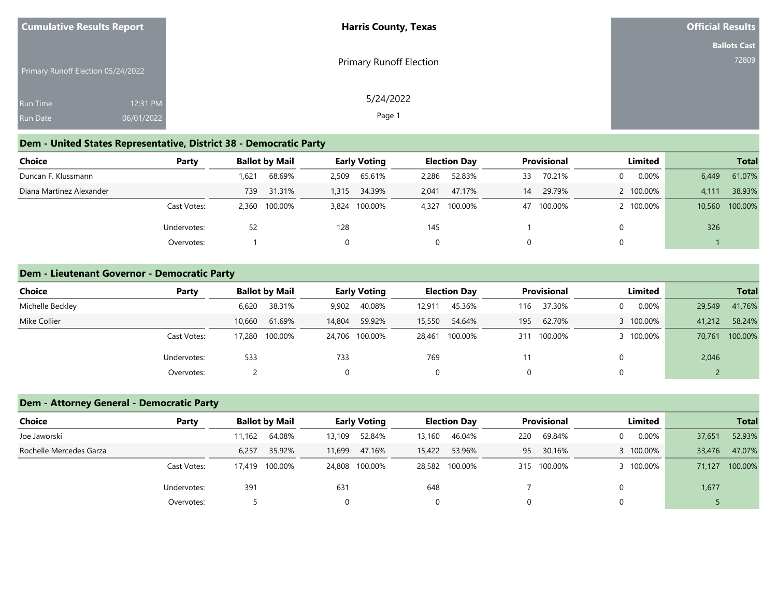| <b>Cumulative Results Report</b>   | <b>Harris County, Texas</b> | <b>Official Results</b> |
|------------------------------------|-----------------------------|-------------------------|
|                                    |                             | <b>Ballots Cast</b>     |
| Primary Runoff Election 05/24/2022 | Primary Runoff Election     | 72809                   |
| 12:31 PM<br><b>Run Time</b>        | 5/24/2022                   |                         |
| 06/01/2022<br>Run Date             | Page 1                      |                         |

### **Dem - United States Representative, District 38 - Democratic Party**

| Choice                   | Party       |       | <b>Ballot by Mail</b> |       | <b>Early Voting</b> |              | <b>Election Day</b> |    | <b>Provisional</b> |          | Limited   |       | <b>Total</b>   |
|--------------------------|-------------|-------|-----------------------|-------|---------------------|--------------|---------------------|----|--------------------|----------|-----------|-------|----------------|
| Duncan F. Klussmann      |             | .621  | 68.69%                | 2,509 | 65.61%              | 2,286        | 52.83%              | 33 | 70.21%             | $\Omega$ | 0.00%     | 6,449 | 61.07%         |
| Diana Martinez Alexander |             | 739   | 31.31%                | 1,315 | 34.39%              | 2.041        | 47.17%              | 14 | 29.79%             |          | 2 100,00% | 4,111 | 38.93%         |
|                          | Cast Votes: | 2,360 | 100.00%               |       | 3,824 100.00%       | 4,327        | 100.00%             | 47 | 100.00%            |          | 2 100.00% |       | 10,560 100.00% |
|                          | Undervotes: | 52    |                       | 128   |                     | 145          |                     |    |                    |          |           | 326   |                |
|                          | Overvotes:  |       |                       |       |                     | $\mathbf{0}$ |                     |    |                    |          |           |       |                |

### **Dem - Lieutenant Governor - Democratic Party**

| Choice           | Party       |        | <b>Ballot by Mail</b> |        | <b>Early Voting</b> |        | <b>Election Day</b> |     | <b>Provisional</b> |   | Limited   |        | <b>Total</b> |
|------------------|-------------|--------|-----------------------|--------|---------------------|--------|---------------------|-----|--------------------|---|-----------|--------|--------------|
| Michelle Beckley |             | 6,620  | 38.31%                | 9,902  | 40.08%              | 12.911 | 45.36%              | 116 | 37.30%             | 0 | 0.00%     | 29,549 | 41.76%       |
| Mike Collier     |             | 10,660 | 61.69%                | 14,804 | 59.92%              | 15,550 | 54.64%              | 195 | 62.70%             |   | 3 100.00% | 41,212 | 58.24%       |
|                  | Cast Votes: | 17,280 | 100.00%               |        | 24,706 100.00%      | 28,461 | 100.00%             | 311 | 100.00%            |   | 3 100.00% | 70,761 | 100.00%      |
|                  | Undervotes: | 533    |                       | 733    |                     | 769    |                     | 11  |                    | 0 |           | 2,046  |              |
|                  | Overvotes:  |        |                       |        |                     | 0      |                     |     |                    | 0 |           |        |              |

### **Dem - Attorney General - Democratic Party**

| <b>Choice</b>           | Party       |        | <b>Ballot by Mail</b> |        | <b>Early Voting</b> |        | <b>Election Day</b> |     | <b>Provisional</b> |   | Limited   |        | <b>Total</b> |
|-------------------------|-------------|--------|-----------------------|--------|---------------------|--------|---------------------|-----|--------------------|---|-----------|--------|--------------|
| Joe Jaworski            |             | 11.162 | 64.08%                | 13,109 | 52.84%              | 13,160 | 46.04%              | 220 | 69.84%             | 0 | 0.00%     | 37,651 | 52.93%       |
| Rochelle Mercedes Garza |             | 6,257  | 35.92%                | 11,699 | 47.16%              | 15,422 | 53.96%              | 95  | 30.16%             |   | 100.00%   | 33,476 | 47.07%       |
|                         | Cast Votes: | 17.419 | 100.00%               |        | 24,808 100.00%      |        | 28,582 100.00%      |     | 315 100.00%        |   | 3 100.00% | 71,127 | 100.00%      |
|                         | Undervotes: | 391    |                       | 631    |                     | 648    |                     |     |                    |   |           | 1,677  |              |
|                         | Overvotes:  |        |                       |        |                     | 0      |                     |     |                    |   |           |        |              |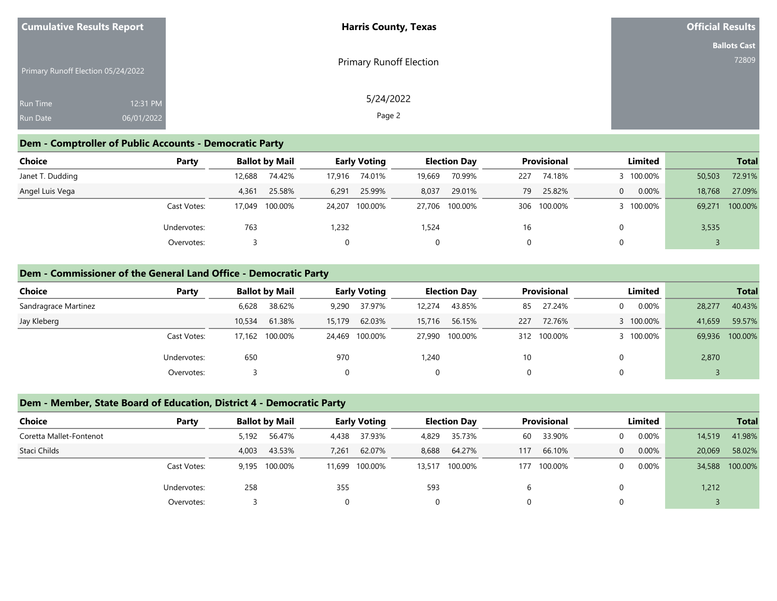| <b>Cumulative Results Report</b>   |            | <b>Harris County, Texas</b>    | <b>Official Results</b> |
|------------------------------------|------------|--------------------------------|-------------------------|
|                                    |            |                                | <b>Ballots Cast</b>     |
| Primary Runoff Election 05/24/2022 |            | <b>Primary Runoff Election</b> | 72809                   |
| <b>Run Time</b>                    | 12:31 PM   | 5/24/2022                      |                         |
| <b>Run Date</b>                    | 06/01/2022 | Page 2                         |                         |

### **Dem - Comptroller of Public Accounts - Democratic Party**

| <b>Choice</b>    | Party       |        | <b>Ballot by Mail</b> |        | <b>Early Voting</b> |        | <b>Election Day</b> |     | <b>Provisional</b> | Limited   |        | <b>Total</b>   |
|------------------|-------------|--------|-----------------------|--------|---------------------|--------|---------------------|-----|--------------------|-----------|--------|----------------|
| Janet T. Dudding |             | 12,688 | 74.42%                | 17,916 | 74.01%              | 19,669 | 70.99%              | 227 | 74.18%             | 3 100.00% | 50,503 | 72.91%         |
| Angel Luis Vega  |             | 4,361  | 25.58%                | 6,291  | 25.99%              | 8,037  | 29.01%              | 79  | 25.82%             | 0.00%     | 18,768 | 27.09%         |
|                  | Cast Votes: | 17.049 | 100.00%               |        | 24,207 100.00%      |        | 27,706 100.00%      |     | 306 100.00%        | 3 100.00% |        | 69,271 100.00% |
|                  | Undervotes: | 763    |                       | 1,232  |                     | 1,524  |                     | 16  |                    |           | 3,535  |                |
|                  | Overvotes:  |        |                       |        |                     |        |                     |     |                    |           |        |                |

### **Dem - Commissioner of the General Land Office - Democratic Party**

| <b>Choice</b>        | Party       | <b>Ballot by Mail</b> |        |          | <b>Early Voting</b> |        | <b>Election Day</b> |     | <b>Provisional</b> |          | Limited   |        | <b>Total</b> |
|----------------------|-------------|-----------------------|--------|----------|---------------------|--------|---------------------|-----|--------------------|----------|-----------|--------|--------------|
| Sandragrace Martinez |             | 6,628                 | 38.62% | 9,290    | 37.97%              | 12.274 | 43.85%              | 85  | 27.24%             | $\Omega$ | $0.00\%$  | 28,277 | 40.43%       |
| Jay Kleberg          |             | 10,534                | 61.38% | 15,179   | 62.03%              | 15,716 | 56.15%              | 227 | 72.76%             |          | 3 100.00% | 41,659 | 59.57%       |
|                      | Cast Votes: | 17,162 100.00%        |        |          | 24,469 100.00%      |        | 27,990 100.00%      | 312 | 100.00%            |          | 3 100.00% | 69,936 | 100.00%      |
|                      | Undervotes: | 650                   |        | 970      |                     | 1,240  |                     | 10  |                    |          |           | 2,870  |              |
|                      | Overvotes:  |                       |        | $\Omega$ |                     | 0      |                     |     |                    |          |           |        |              |

### **Dem - Member, State Board of Education, District 4 - Democratic Party**

| <b>Choice</b>           | Party       |       | <b>Ballot by Mail</b> |        | <b>Early Voting</b> |        | <b>Election Day</b> |     | <b>Provisional</b> |                | Limited  |        | <b>Total</b>   |
|-------------------------|-------------|-------|-----------------------|--------|---------------------|--------|---------------------|-----|--------------------|----------------|----------|--------|----------------|
| Coretta Mallet-Fontenot |             | 5,192 | 56.47%                | 4,438  | 37.93%              | 4,829  | 35.73%              | 60  | 33.90%             | $\Omega$       | 0.00%    | 14,519 | 41.98%         |
| Staci Childs            |             | 4,003 | 43.53%                | 7,261  | 62.07%              | 8,688  | 64.27%              | 117 | 66.10%             | $\overline{0}$ | 0.00%    | 20,069 | 58.02%         |
|                         | Cast Votes: | 9.195 | 100.00%               | 11,699 | 100.00%             | 13,517 | 100.00%             | 177 | 100.00%            | $\Omega$       | $0.00\%$ |        | 34,588 100.00% |
|                         | Undervotes: | 258   |                       | 355    |                     | 593    |                     |     |                    |                |          | 1,212  |                |
|                         | Overvotes:  |       |                       |        |                     |        |                     |     |                    | $\Omega$       |          |        |                |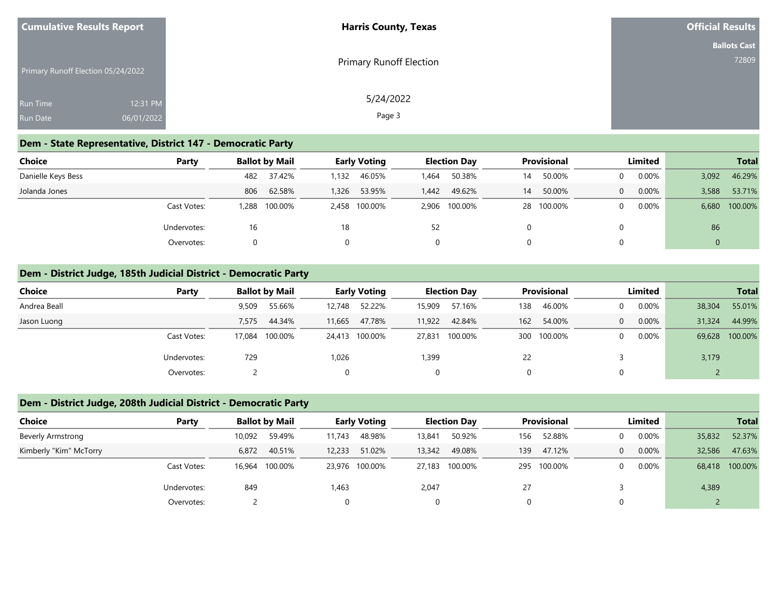| <b>Cumulative Results Report</b>   |            | <b>Harris County, Texas</b>    | <b>Official Results</b> |
|------------------------------------|------------|--------------------------------|-------------------------|
|                                    |            |                                | <b>Ballots Cast</b>     |
| Primary Runoff Election 05/24/2022 |            | <b>Primary Runoff Election</b> | 72809                   |
| <b>Run Time</b>                    | 12:31 PM   | 5/24/2022                      |                         |
| <b>Run Date</b>                    | 06/01/2022 | Page 3                         |                         |

### **Dem - State Representative, District 147 - Democratic Party**

| Choice             | Party       |          | <b>Ballot by Mail</b> |       | <b>Early Voting</b> |       | <b>Election Day</b> |    | <b>Provisional</b> |          | Limited  |              | <b>Total</b>  |
|--------------------|-------------|----------|-----------------------|-------|---------------------|-------|---------------------|----|--------------------|----------|----------|--------------|---------------|
| Danielle Keys Bess |             | 482      | 37.42%                | 1,132 | 46.05%              | 1.464 | 50.38%              | 14 | 50.00%             | $\Omega$ | $0.00\%$ | 3,092        | 46.29%        |
| Jolanda Jones      |             | 806      | 62.58%                | 1,326 | 53.95%              | 1.442 | 49.62%              | 14 | 50.00%             | $\Omega$ | 0.00%    | 3,588        | 53.71%        |
|                    | Cast Votes: | ۔ 288. ا | 100.00%               |       | 2,458 100.00%       |       | 2,906 100.00%       |    | 28 100.00%         | $\Omega$ | $0.00\%$ |              | 6,680 100.00% |
|                    | Undervotes: | 16       |                       | 18    |                     | 52    |                     |    |                    |          |          | 86           |               |
|                    | Overvotes:  |          |                       |       |                     | 0     |                     |    |                    | $\Omega$ |          | $\mathbf{0}$ |               |

### **Dem - District Judge, 185th Judicial District - Democratic Party**

| Choice       | Party                 | <b>Ballot by Mail</b> |        | <b>Early Voting</b> |        | <b>Election Day</b> |     | <b>Provisional</b> |          | Limited  |        | <b>Total</b> |
|--------------|-----------------------|-----------------------|--------|---------------------|--------|---------------------|-----|--------------------|----------|----------|--------|--------------|
| Andrea Beall | 9,509                 | 55.66%                | 12,748 | 52.22%              | 15,909 | 57.16%              | 138 | 46.00%             | 0        | 0.00%    | 38,304 | 55.01%       |
| Jason Luong  | 7.575                 | 44.34%                | 11,665 | 47.78%              | 11,922 | 42.84%              | 162 | 54.00%             | $\Omega$ | 0.00%    | 31,324 | 44.99%       |
|              | Cast Votes:<br>17,084 | 100.00%               |        | 24,413 100.00%      |        | 27,831 100.00%      | 300 | 100.00%            | 0        | $0.00\%$ | 69,628 | 100.00%      |
|              | 729<br>Undervotes:    |                       | 1,026  |                     | 1,399  |                     | 22  |                    |          |          | 3,179  |              |
|              | Overvotes:            |                       |        |                     | 0      |                     |     |                    | 0        |          |        |              |

# **Dem - District Judge, 208th Judicial District - Democratic Party**

| <b>Choice</b>            | Party       |        | <b>Ballot by Mail</b> |        | <b>Early Voting</b> |        | <b>Election Day</b> |     | <b>Provisional</b> |          | Limited  |        | <b>Total</b>   |
|--------------------------|-------------|--------|-----------------------|--------|---------------------|--------|---------------------|-----|--------------------|----------|----------|--------|----------------|
| <b>Beverly Armstrong</b> |             | 10,092 | 59.49%                | 11,743 | 48.98%              | 13,841 | 50.92%              | 156 | 52.88%             | $\Omega$ | $0.00\%$ | 35,832 | 52.37%         |
| Kimberly "Kim" McTorry   |             | 6,872  | 40.51%                | 12,233 | 51.02%              | 13,342 | 49.08%              | 139 | 47.12%             | $\Omega$ | $0.00\%$ | 32,586 | 47.63%         |
|                          | Cast Votes: | 16,964 | 100.00%               |        | 23,976 100.00%      | 27,183 | 100.00%             | 295 | 100.00%            | $\Omega$ | $0.00\%$ |        | 68,418 100.00% |
|                          | Undervotes: | 849    |                       | 1,463  |                     | 2,047  |                     | 27  |                    |          |          | 4,389  |                |
|                          | Overvotes:  |        |                       |        |                     |        |                     |     |                    |          |          |        |                |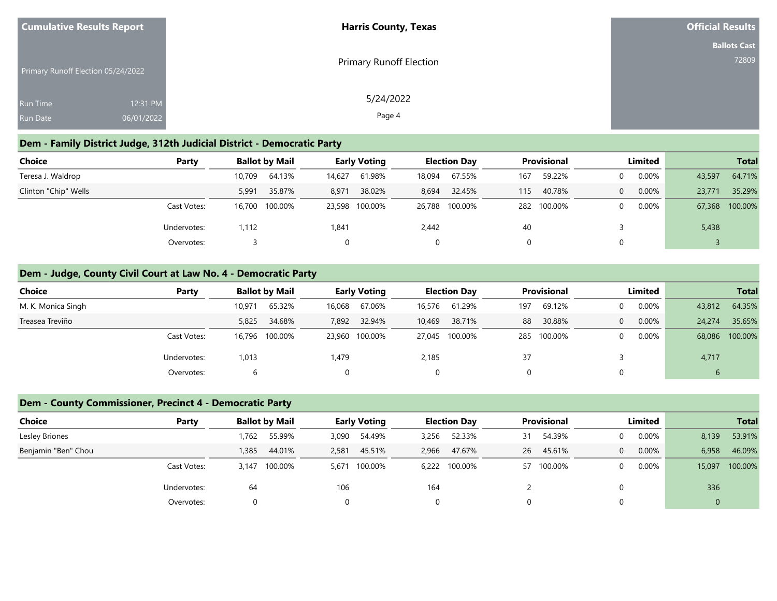| <b>Cumulative Results Report</b>   |            | <b>Harris County, Texas</b>    | <b>Official Results</b> |
|------------------------------------|------------|--------------------------------|-------------------------|
|                                    |            |                                | <b>Ballots Cast</b>     |
| Primary Runoff Election 05/24/2022 |            | <b>Primary Runoff Election</b> | 72809                   |
| <b>Run Time</b>                    | 12:31 PM   | 5/24/2022                      |                         |
| Run Date                           | 06/01/2022 | Page 4                         |                         |

### **Dem - Family District Judge, 312th Judicial District - Democratic Party**

| <b>Choice</b>        | Party       |        | <b>Ballot by Mail</b> | <b>Early Voting</b> |                |        | <b>Election Dav</b> | <b>Provisional</b> |             | Limited |          |        | <b>Total</b>   |
|----------------------|-------------|--------|-----------------------|---------------------|----------------|--------|---------------------|--------------------|-------------|---------|----------|--------|----------------|
| Teresa J. Waldrop    |             | 10,709 | 64.13%                | 14,627              | 61.98%         | 18,094 | 67.55%              | 167                | 59.22%      |         | $0.00\%$ | 43,597 | 64.71%         |
| Clinton "Chip" Wells |             | 5,991  | 35.87%                | 8,971               | 38.02%         | 8,694  | 32.45%              | 115                | 40.78%      |         | 0.00%    | 23,771 | 35.29%         |
|                      | Cast Votes: |        | 16,700 100.00%        |                     | 23,598 100.00% |        | 26,788 100.00%      |                    | 282 100.00% |         | $0.00\%$ |        | 67,368 100.00% |
|                      | Undervotes: | 1,112  |                       | 1,841               |                | 2,442  |                     | 40                 |             |         |          | 5,438  |                |
|                      | Overvotes:  |        |                       |                     |                |        |                     |                    |             |         |          |        |                |

### **Dem - Judge, County Civil Court at Law No. 4 - Democratic Party**

| Choice             | Party       |        | <b>Ballot by Mail</b> |        | <b>Early Voting</b> |        | <b>Election Day</b> |     | <b>Provisional</b> |          | Limited  |        | <b>Total</b> |
|--------------------|-------------|--------|-----------------------|--------|---------------------|--------|---------------------|-----|--------------------|----------|----------|--------|--------------|
| M. K. Monica Singh |             | 10,971 | 65.32%                | 16,068 | 67.06%              | 16,576 | 61.29%              | 197 | 69.12%             | 0        | $0.00\%$ | 43,812 | 64.35%       |
| Treasea Treviño    |             | 5,825  | 34.68%                | 7,892  | 32.94%              | 10,469 | 38.71%              | 88  | 30.88%             | 0        | $0.00\%$ | 24,274 | 35.65%       |
|                    | Cast Votes: |        | 16,796 100.00%        |        | 23,960 100.00%      |        | 27,045 100.00%      | 285 | 100.00%            | $\Omega$ | $0.00\%$ | 68,086 | 100.00%      |
|                    | Undervotes: | 1,013  |                       | 1,479  |                     | 2,185  |                     | 37  |                    |          |          | 4,717  |              |
|                    | Overvotes:  | b      |                       |        |                     | 0      |                     |     |                    |          |          | ь      |              |

### **Dem - County Commissioner, Precinct 4 - Democratic Party**

| Choice<br>Party     |            | <b>Ballot by Mail</b> |       | <b>Early Voting</b> |       | <b>Election Day</b> | <b>Provisional</b> |         | Limited |          |              | <b>Total</b> |
|---------------------|------------|-----------------------|-------|---------------------|-------|---------------------|--------------------|---------|---------|----------|--------------|--------------|
| Lesley Briones      | 762        | 55.99%                | 3,090 | 54.49%              | 3,256 | 52.33%              | 31                 | 54.39%  |         | 0.00%    | 8,139        | 53.91%       |
| Benjamin "Ben" Chou | 1,385      | 44.01%                | 2,581 | 45.51%              | 2,966 | 47.67%              | 26                 | 45.61%  |         | $0.00\%$ | 6,958        | 46.09%       |
| Cast Votes:         | 3.147      | 100.00%               | 5.671 | 100.00%             |       | 6,222 100.00%       | 57                 | 100.00% |         | 0.00%    | 15,097       | 100.00%      |
| Undervotes:         | 64         |                       | 106   |                     | 164   |                     |                    |         |         |          | 336          |              |
|                     | Overvotes: |                       |       |                     |       |                     |                    |         |         |          | $\mathbf{0}$ |              |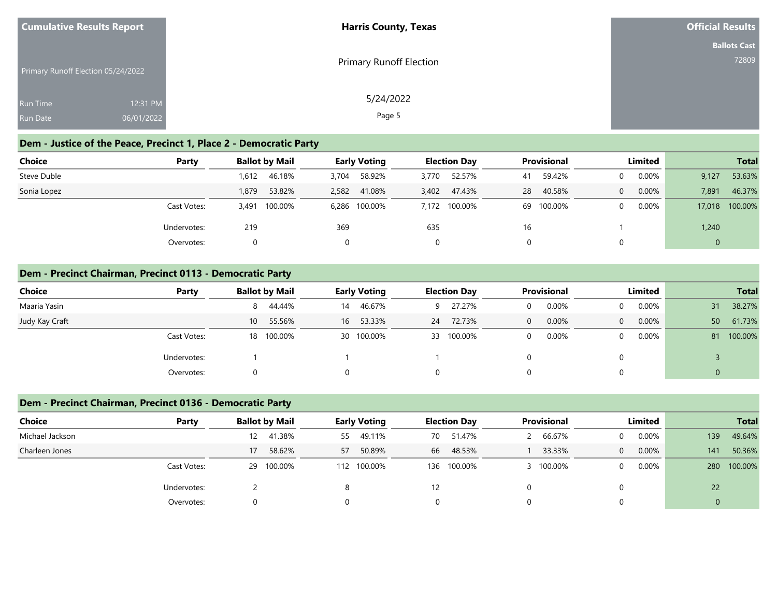| <b>Cumulative Results Report</b>   |            | <b>Harris County, Texas</b> | <b>Official Results</b> |
|------------------------------------|------------|-----------------------------|-------------------------|
|                                    |            |                             | <b>Ballots Cast</b>     |
| Primary Runoff Election 05/24/2022 |            | Primary Runoff Election     | 72809                   |
| Run Time                           | 12:31 PM   | 5/24/2022                   |                         |
| <b>Run Date</b>                    | 06/01/2022 | Page 5                      |                         |

# **Dem - Justice of the Peace, Precinct 1, Place 2 - Democratic Party**

| Choice      | Party       | <b>Ballot by Mail</b> | <b>Early Voting</b> | <b>Election Day</b> | <b>Provisional</b> | Limited  | <b>Total</b>    |
|-------------|-------------|-----------------------|---------------------|---------------------|--------------------|----------|-----------------|
| Steve Duble |             | 46.18%<br>1.612       | 58.92%<br>3,704     | 52.57%<br>3,770     | 59.42%<br>41       | 0.00%    | 53.63%<br>9,127 |
| Sonia Lopez |             | 53.82%<br>1,879       | 2,582<br>41.08%     | 47.43%<br>3,402     | 40.58%<br>28       | 0.00%    | 46.37%<br>7,891 |
|             | Cast Votes: | 100.00%<br>3.491      | 6,286 100.00%       | 7,172 100.00%       | 100.00%<br>69      | $0.00\%$ | 17,018 100.00%  |
|             | Undervotes: | 219                   | 369                 | 635                 | 16                 |          | 1,240           |
|             | Overvotes:  | 0                     | 0                   |                     |                    |          | $\mathbf{0}$    |

#### **Dem - Precinct Chairman, Precinct 0113 - Democratic Party**

| <b>Choice</b>  | Party       | <b>Ballot by Mail</b>     | <b>Early Voting</b> | <b>Election Day</b> | <b>Provisional</b> | Limited                    | <b>Total</b>  |
|----------------|-------------|---------------------------|---------------------|---------------------|--------------------|----------------------------|---------------|
| Maaria Yasin   |             | 44.44%<br>8               | 46.67%<br>14        | 27.27%<br>9         | 0.00%              | $0.00\%$<br>$\Omega$       | 38.27%<br>31  |
| Judy Kay Craft |             | 55.56%<br>10 <sup>1</sup> | 53.33%<br>16        | 72.73%<br>24        | 0.00%<br>$\Omega$  | $0.00\%$<br>$\overline{0}$ | 61.73%<br>50  |
|                | Cast Votes: | 18 100.00%                | 30 100.00%          | 33 100.00%          | 0.00%              | $0.00\%$<br>$\mathbf{0}$   | 100.00%<br>81 |
|                | Undervotes: |                           |                     |                     |                    |                            |               |
|                | Overvotes:  |                           |                     | Ü                   |                    |                            |               |

## **Dem - Precinct Chairman, Precinct 0136 - Democratic Party**

| <b>Choice</b>   | Party       |     | <b>Ballot by Mail</b> | <b>Early Voting</b> |             |    | <b>Election Day</b> | <b>Provisional</b> |         | Limited        |          |     | <b>Total</b> |
|-----------------|-------------|-----|-----------------------|---------------------|-------------|----|---------------------|--------------------|---------|----------------|----------|-----|--------------|
| Michael Jackson |             | 12. | 41.38%                | 55                  | 49.11%      | 70 | 51.47%              |                    | 66.67%  | 0              | 0.00%    | 139 | 49.64%       |
| Charleen Jones  |             | 17  | 58.62%                | 57                  | 50.89%      | 66 | 48.53%              |                    | 33.33%  | $\overline{0}$ | $0.00\%$ | 141 | 50.36%       |
|                 | Cast Votes: | 29  | 100.00%               |                     | 112 100.00% |    | 136 100.00%         |                    | 100.00% | 0              | $0.00\%$ | 280 | 100.00%      |
|                 | Undervotes: |     |                       | 8                   |             | 12 |                     |                    |         |                |          | 22  |              |
|                 | Overvotes:  |     |                       |                     |             |    | $\Omega$            |                    |         |                |          |     |              |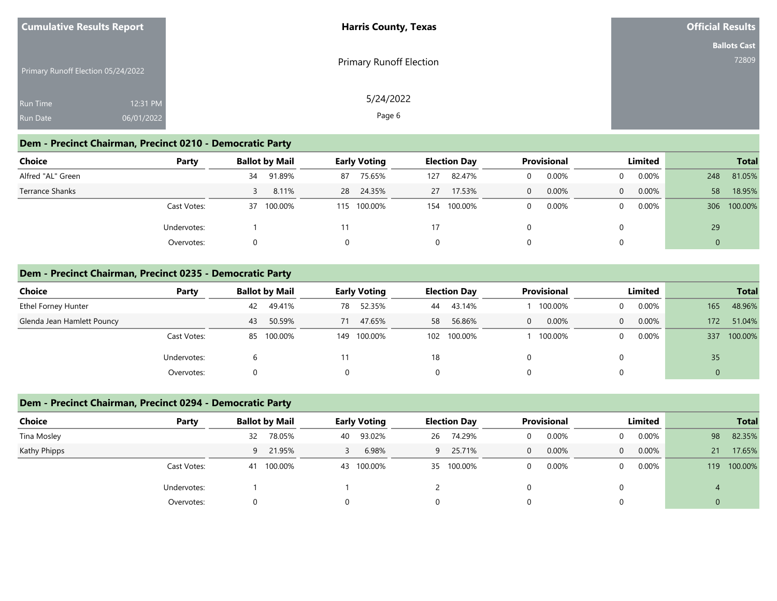| <b>Cumulative Results Report</b>   |            | <b>Harris County, Texas</b> | <b>Official Results</b> |
|------------------------------------|------------|-----------------------------|-------------------------|
|                                    |            |                             | <b>Ballots Cast</b>     |
| Primary Runoff Election 05/24/2022 |            | Primary Runoff Election     | 72809                   |
| <b>Run Time</b>                    | 12:31 PM   | 5/24/2022                   |                         |
| <b>Run Date</b>                    | 06/01/2022 | Page 6                      |                         |

### **Dem - Precinct Chairman, Precinct 0210 - Democratic Party**

| Choice            | Party       |    | <b>Ballot by Mail</b> | <b>Early Voting</b> |             |     | <b>Election Day</b> | <b>Provisional</b> |       | Limited  |          |              | <b>Total</b> |
|-------------------|-------------|----|-----------------------|---------------------|-------------|-----|---------------------|--------------------|-------|----------|----------|--------------|--------------|
| Alfred "AL" Green |             | 34 | 91.89%                | 87                  | 75.65%      | 127 | 82.47%              |                    | 0.00% |          | 0.00%    | 248          | 81.05%       |
| Terrance Shanks   |             |    | 8.11%                 | 28                  | 24.35%      | 27  | 17.53%              | 0                  | 0.00% | $\Omega$ | $0.00\%$ | 58           | 18.95%       |
|                   | Cast Votes: |    | 37 100.00%            |                     | 115 100.00% | 154 | 100.00%             |                    | 0.00% |          | $0.00\%$ |              | 306 100.00%  |
|                   | Undervotes: |    |                       | 11                  |             | 17  |                     |                    |       |          |          | 29           |              |
|                   | Overvotes:  |    |                       |                     |             |     | 0                   |                    |       |          |          | $\mathbf{0}$ |              |

#### **Dem - Precinct Chairman, Precinct 0235 - Democratic Party**

| Choice                     | Party       | <b>Ballot by Mail</b> | <b>Early Voting</b> | <b>Election Day</b> | <b>Provisional</b> | Limited              | <b>Total</b>   |
|----------------------------|-------------|-----------------------|---------------------|---------------------|--------------------|----------------------|----------------|
| Ethel Forney Hunter        |             | 49.41%<br>42          | 52.35%<br>78        | 43.14%<br>44        | 100.00%            | $0.00\%$<br>$\Omega$ | 48.96%<br>165  |
| Glenda Jean Hamlett Pouncy |             | 50.59%<br>43          | 47.65%<br>71        | 56.86%<br>58        | 0.00%<br>0         | $0.00\%$<br>$\Omega$ | 51.04%<br>172  |
|                            | Cast Votes: | 85 100.00%            | 149 100.00%         | 100.00%<br>102      | 100.00%            | $0.00\%$<br>$\Omega$ | 100.00%<br>337 |
|                            | Undervotes: | b                     |                     | 18                  |                    | 0                    | 35             |
|                            | Overvotes:  | 0                     | $\Omega$            | 0                   |                    | 0                    |                |

### **Dem - Precinct Chairman, Precinct 0294 - Democratic Party**

| <b>Choice</b> | Party       |    | <b>Ballot by Mail</b> | <b>Early Voting</b> |            |                | <b>Election Day</b> | <b>Provisional</b> |       | Limited        |          |    | <b>Total</b> |
|---------------|-------------|----|-----------------------|---------------------|------------|----------------|---------------------|--------------------|-------|----------------|----------|----|--------------|
| Tina Mosley   |             | 32 | 78.05%                | 40                  | 93.02%     | 26             | 74.29%              | 0                  | 0.00% | $\Omega$       | $0.00\%$ | 98 | 82.35%       |
| Kathy Phipps  |             |    | 9 21.95%              |                     | 6.98%      | $\overline{9}$ | 25.71%              | $\mathbf{0}$       | 0.00% | $\overline{0}$ | 0.00%    | 21 | 17.65%       |
|               | Cast Votes: | 41 | 100.00%               |                     | 43 100.00% |                | 35 100.00%          | 0                  | 0.00% | $\Omega$       | $0.00\%$ |    | 119 100.00%  |
|               | Undervotes: |    |                       |                     |            |                |                     |                    |       | $\Omega$       |          |    |              |
|               | Overvotes:  |    |                       |                     |            |                |                     |                    |       |                | $\Omega$ |    |              |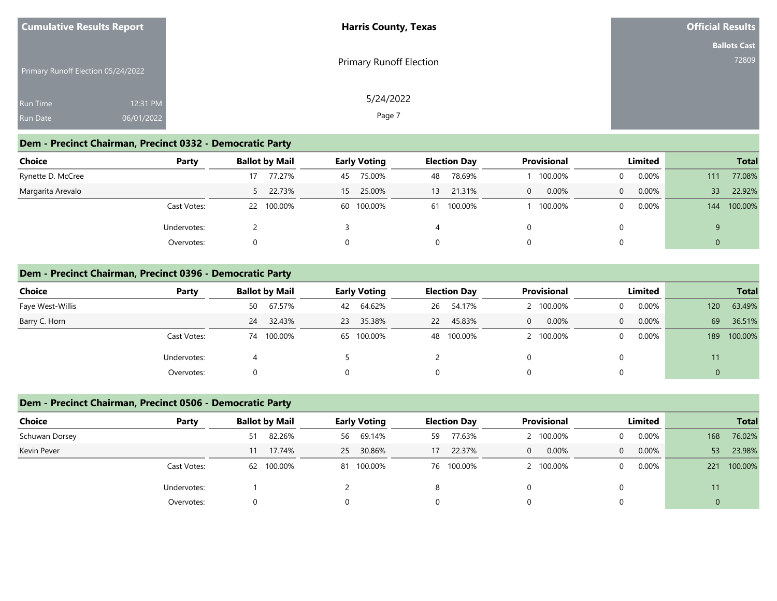| <b>Cumulative Results Report</b>   |            | <b>Harris County, Texas</b>    | <b>Official Results</b> |
|------------------------------------|------------|--------------------------------|-------------------------|
|                                    |            |                                | <b>Ballots Cast</b>     |
| Primary Runoff Election 05/24/2022 |            | <b>Primary Runoff Election</b> | 72809                   |
| <b>Run Time</b>                    | 12:31 PM   | 5/24/2022                      |                         |
| <b>Run Date</b>                    | 06/01/2022 | Page 7                         |                         |

### **Dem - Precinct Chairman, Precinct 0332 - Democratic Party**

| <b>Choice</b>     | Party       | <b>Ballot by Mail</b> | <b>Early Voting</b> | <b>Election Day</b> | <b>Provisional</b>    | Limited  | <b>Total</b>              |
|-------------------|-------------|-----------------------|---------------------|---------------------|-----------------------|----------|---------------------------|
| Rynette D. McCree |             | 77.27%                | 75.00%<br>45        | 78.69%<br>48        | 100.00%               | $0.00\%$ | 77.08%<br>111             |
| Margarita Arevalo |             | 5 22.73%              | 25.00%<br>15        | 21.31%<br>13        | 0.00%<br>$\mathbf{0}$ | 0.00%    | 22.92%<br>33 <sup>°</sup> |
|                   | Cast Votes: | 100.00%<br>22         | 60 100.00%          | 61 100.00%          | 100.00%               | $0.00\%$ | 144 100.00%               |
|                   | Undervotes: |                       |                     |                     |                       |          | 9                         |
|                   | Overvotes:  |                       |                     | 0                   |                       |          | $\mathbf{0}$              |

#### **Dem - Precinct Chairman, Precinct 0396 - Democratic Party**

| Choice           | Party       | <b>Ballot by Mail</b> | <b>Early Voting</b> | <b>Election Day</b> | <b>Provisional</b> | Limited              | <b>Total</b>   |
|------------------|-------------|-----------------------|---------------------|---------------------|--------------------|----------------------|----------------|
| Faye West-Willis |             | 67.57%<br>50          | 64.62%<br>42        | 54.17%<br>26        | 100.00%            | $0.00\%$<br>$\Omega$ | 63.49%<br>120  |
| Barry C. Horn    |             | 24 32.43%             | 35.38%<br>23        | 45.83%<br><b>22</b> | 0.00%<br>$\Omega$  | $0.00\%$<br>$\Omega$ | 36.51%<br>69   |
|                  | Cast Votes: | 74 100.00%            | 65 100.00%          | 48 100.00%          | 2 100.00%          | $0.00\%$<br>$\Omega$ | 100.00%<br>189 |
|                  | Undervotes: |                       |                     |                     |                    |                      | 11             |
|                  | Overvotes:  |                       |                     | 0                   |                    |                      | 0              |

### **Dem - Precinct Chairman, Precinct 0506 - Democratic Party**

| <b>Choice</b><br>Party |    | <b>Ballot by Mail</b> |    | <b>Early Voting</b> |    | <b>Election Day</b> |              | <b>Provisional</b> |                | Limited  |                | <b>Total</b> |
|------------------------|----|-----------------------|----|---------------------|----|---------------------|--------------|--------------------|----------------|----------|----------------|--------------|
| Schuwan Dorsey         | 51 | 82.26%                | 56 | 69.14%              | 59 | 77.63%              |              | 100.00%            | $\Omega$       | $0.00\%$ | 168            | 76.02%       |
| Kevin Pever            | 11 | 17.74%                | 25 | 30.86%              | 17 | 22.37%              | $\mathbf{0}$ | 0.00%              | $\overline{0}$ | 0.00%    | 53             | 23.98%       |
| Cast Votes:            | 62 | 100.00%               |    | 81 100.00%          |    | 76 100.00%          |              | 100.00%            | $\Omega$       | $0.00\%$ |                | 221 100.00%  |
| Undervotes:            |    |                       |    |                     |    |                     |              |                    |                |          | 11             |              |
| Overvotes:             | O  |                       |    |                     |    |                     |              |                    | $\Omega$       |          | $\overline{0}$ |              |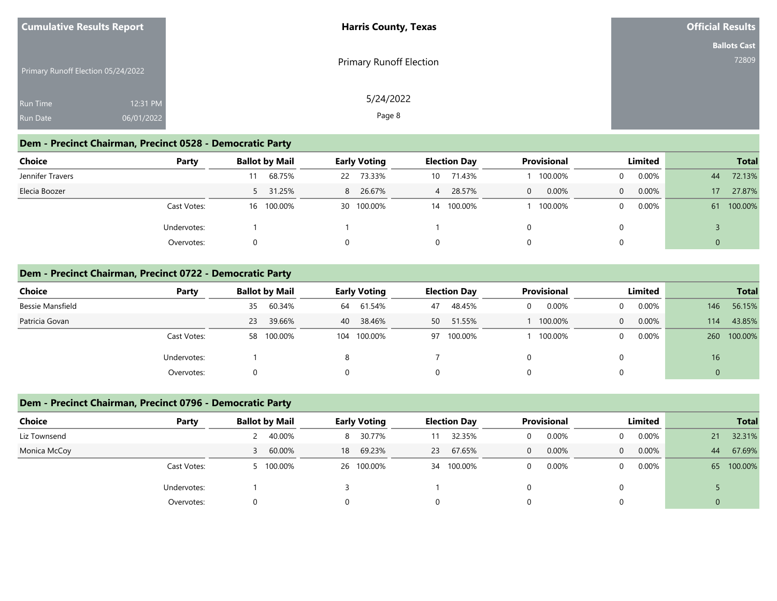| <b>Cumulative Results Report</b>   |            | <b>Harris County, Texas</b>    | <b>Official Results</b> |
|------------------------------------|------------|--------------------------------|-------------------------|
|                                    |            |                                | <b>Ballots Cast</b>     |
| Primary Runoff Election 05/24/2022 |            | <b>Primary Runoff Election</b> | 72809                   |
| <b>Run Time</b>                    | 12:31 PM   | 5/24/2022                      |                         |
| <b>Run Date</b>                    | 06/01/2022 | Page 8                         |                         |

### **Dem - Precinct Chairman, Precinct 0528 - Democratic Party**

| Choice<br>Party  | <b>Ballot by Mail</b> |    | <b>Early Voting</b> |                 | <b>Election Day</b> |          | <b>Provisional</b> |                | Limited  |                | <b>Total</b> |
|------------------|-----------------------|----|---------------------|-----------------|---------------------|----------|--------------------|----------------|----------|----------------|--------------|
| Jennifer Travers | 68.75%                | 22 | 73.33%              | 10 <sup>1</sup> | 71.43%              |          | 100.00%            | $\Omega$       | $0.00\%$ | 44             | 72.13%       |
| Elecia Boozer    | 5 31.25%              | 8  | 26.67%              | 4               | 28.57%              | $\Omega$ | 0.00%              | $\overline{0}$ | $0.00\%$ | 17             | 27.87%       |
| Cast Votes:      | 16 100.00%            |    | 30 100.00%          | 14              | 100.00%             |          | 100.00%            | $\Omega$       | $0.00\%$ |                | 61 100.00%   |
| Undervotes:      |                       |    |                     |                 |                     |          |                    | 0              |          |                |              |
| Overvotes:       |                       |    |                     | 0               |                     |          |                    | 0              |          | $\overline{0}$ |              |

#### **Dem - Precinct Chairman, Precinct 0722 - Democratic Party**

| Choice           | Party       | <b>Ballot by Mail</b> | <b>Early Voting</b> | <b>Election Day</b> | <b>Provisional</b> | Limited              | <b>Total</b>   |
|------------------|-------------|-----------------------|---------------------|---------------------|--------------------|----------------------|----------------|
| Bessie Mansfield |             | 60.34%<br>35          | 61.54%<br>64        | 48.45%<br>47        | 0.00%<br>0         | $0.00\%$<br>$\Omega$ | 56.15%<br>146  |
| Patricia Govan   |             | 39.66%<br>23          | 38.46%<br>40        | 51.55%<br>50        | 100.00%            | $0.00\%$<br>$\Omega$ | 43.85%<br>114  |
|                  | Cast Votes: | 58 100.00%            | 104 100.00%         | 97 100.00%          | 100.00%            | $0.00\%$<br>$\Omega$ | 100.00%<br>260 |
|                  | Undervotes: |                       | 8                   |                     |                    |                      | 16             |
|                  | Overvotes:  |                       | $\Omega$            | 0                   |                    | 0                    |                |

### **Dem - Precinct Chairman, Precinct 0796 - Democratic Party**

| <b>Choice</b> | Party       | <b>Ballot by Mail</b> | <b>Early Voting</b> | <b>Election Day</b> | <b>Provisional</b>    | Limited                 | <b>Total</b>   |
|---------------|-------------|-----------------------|---------------------|---------------------|-----------------------|-------------------------|----------------|
| Liz Townsend  |             | 40.00%                | 30.77%<br>8         | 32.35%              | 0.00%<br>$\Omega$     | $0.00\%$<br>$\Omega$    | 32.31%<br>21   |
| Monica McCoy  |             | 60.00%                | 69.23%<br>18        | 67.65%<br>23        | 0.00%<br>$\mathbf{0}$ | 0.00%<br>$\overline{0}$ | 67.69%<br>44   |
|               | Cast Votes: | 100.00%               | 26 100.00%          | 34 100.00%          | 0.00%<br>$\Omega$     | $0.00\%$<br>$\Omega$    | 65 100.00%     |
|               | Undervotes: |                       |                     |                     |                       |                         |                |
|               | Overvotes:  | O                     |                     |                     |                       | $\Omega$                | $\overline{0}$ |